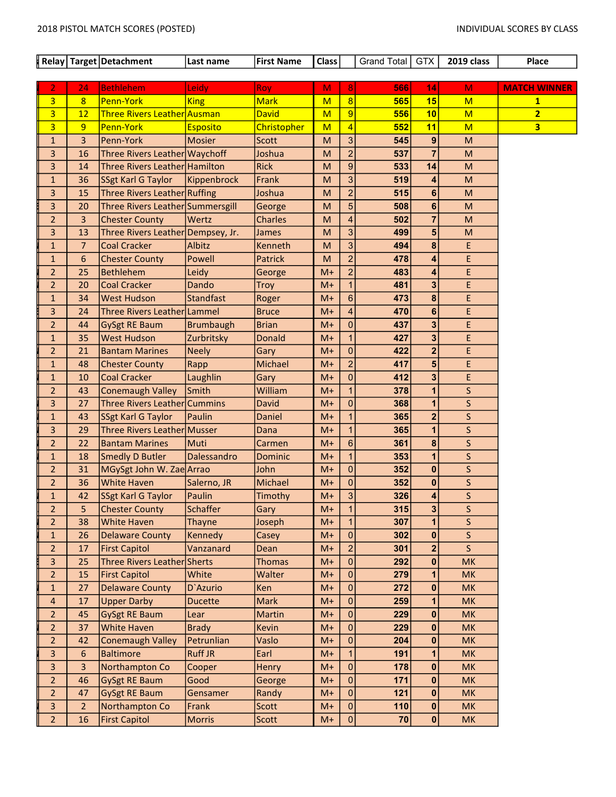$\vert$  Relay Target Detachment Last name First Name Class Grand Total GTX 2019 class Place

| $\overline{8}$<br>565<br>15<br>$\overline{3}$<br>8<br>Penn-York<br><b>Mark</b><br>King<br>M<br>M<br>$\mathbf{1}$<br>$\overline{3}$<br>10<br><b>Three Rivers Leather Ausman</b><br>M<br>9<br>556<br>$\overline{2}$<br>12<br><b>David</b><br>M<br>$\overline{3}$<br>552<br>9<br>Penn-York<br>4<br>11<br>$\overline{\mathbf{3}}$<br><b>Christopher</b><br>M<br>M<br><b>Esposito</b><br>3<br>3<br>Penn-York<br>545<br>9<br>$\mathbf{1}$<br><b>Mosier</b><br>Scott<br>M<br>M<br>$\overline{a}$<br>$\overline{7}$<br>3<br>Three Rivers Leather Waychoff<br>Joshua<br>537<br>16<br>M<br>M<br>9<br>14<br>$\overline{3}$<br>Three Rivers Leather Hamilton<br><b>Rick</b><br>533<br>14<br>M<br>M<br>3<br>519<br>$\mathbf{1}$<br>36<br>SSgt Karl G Taylor<br>Kippenbrock<br>Frank<br>M<br>M<br>4<br>$\overline{a}$<br>515<br>3<br>15<br>Three Rivers Leather Ruffing<br>Joshua<br>6<br>M<br>M<br>5<br>3<br>6<br>20<br>Three Rivers Leather Summersgill<br>M<br>508<br>M<br>George<br>$\overline{4}$<br>$\overline{7}$<br>$\overline{2}$<br>3<br>Wertz<br><b>Charles</b><br>502<br><b>Chester County</b><br>M<br>M<br>3<br>3<br>Three Rivers Leather Dempsey, Jr.<br>5<br>13<br>M<br>499<br>James<br>M<br>3<br>$\overline{7}$<br>Albitz<br>8<br>E<br>$\mathbf{1}$<br><b>Coal Cracker</b><br>Kenneth<br>M<br>494<br>Ė<br>6<br>$\overline{a}$<br>Powell<br>478<br>$\mathbf{1}$<br><b>Chester County</b><br>Patrick<br>M<br>4<br>$\overline{2}$<br>$\overline{2}$<br>E<br><b>Bethlehem</b><br>25<br>Leidy<br>$M+$<br>483<br>4<br>George<br>$\overline{2}$<br><b>Coal Cracker</b><br>481<br>3<br>E<br>20<br>Dando<br>$M+$<br>$\mathbf{1}$<br>Troy<br>$6\phantom{1}$<br>8<br>E<br><b>West Hudson</b><br><b>Standfast</b><br>$M+$<br>473<br>$\mathbf{1}$<br>34<br>Roger<br>3<br>4<br>6<br>E.<br>24<br>Three Rivers Leather Lammel<br><b>Bruce</b><br>$M+$<br>470<br>$\overline{2}$<br>$\overline{0}$<br>437<br>3<br>E<br>44<br><b>GySgt RE Baum</b><br><b>Brumbaugh</b><br><b>Brian</b><br>$M+$<br>427<br>3<br>E<br>35<br><b>West Hudson</b><br>Zurbritsky<br><b>Donald</b><br>$M+$<br>$\mathbf{1}$<br>$\mathbf{1}$<br>$\overline{\mathbf{2}}$<br>$\mathbf{0}$<br>E.<br>$\overline{2}$<br>422<br>21<br><b>Bantam Marines</b><br><b>Neely</b><br>Gary<br>$M+$<br>$\overline{2}$<br>417<br>5<br>E.<br>Michael<br>$M+$<br>$\mathbf{1}$<br>48<br><b>Chester County</b><br>Rapp<br>E.<br><b>Coal Cracker</b><br>$\overline{0}$<br>412<br>3<br>10<br>Laughlin<br>$M+$<br>$\mathbf{1}$<br>Gary<br>$\overline{2}$<br>Smith<br>William<br>1<br>378<br>1<br>S<br>43<br>Conemaugh Valley<br>$M+$<br>$\mathsf{S}$<br>$\mathbf{0}$<br>$\overline{1}$<br>3<br>Three Rivers Leather Cummins<br>368<br>27<br>David<br>$M+$<br>$\overline{\mathbf{2}}$<br>S<br>365<br>$\mathbf{1}$<br><b>SSgt Karl G Taylor</b><br>Paulin<br>1<br>43<br>Daniel<br>$M+$<br>S<br>3<br>Three Rivers Leather Musser<br>365<br>29<br>Dana<br>$M+$<br>$\mathbf{1}$<br>1<br>8<br>$\mathsf{S}$<br>$6\phantom{1}$<br>$\overline{2}$<br>22<br><b>Bantam Marines</b><br>Muti<br>$M+$<br>361<br>Carmen<br>$\mathsf{S}$<br>Dalessandro<br>$\mathbf{1}$<br>353<br>1<br>$\mathbf{1}$<br>18<br><b>Smedly D Butler</b><br>$M+$<br><b>Dominic</b><br>$\mathsf{S}$<br>$\overline{0}$<br>352<br>$\mathbf{0}$<br>$\overline{2}$<br>31<br>MGySgt John W. Zae Arrao<br>John<br>$M+$<br>S<br>0<br>$\pmb{0}$<br>$\overline{2}$<br>36<br><b>White Haven</b><br>Salerno, JR<br>Michael<br>352<br>$M+$<br>S<br>3<br>326<br>SSgt Karl G Taylor<br>Paulin<br>Timothy<br>$M+$<br>4<br>$\mathbf{1}$<br>42<br><b>Schaffer</b><br>S<br>5<br>$\mathbf{1}$<br>315<br>3<br>$\overline{2}$<br><b>Chester County</b><br>$M+$<br>Gary<br>S.<br>$\mathbf{1}$<br>$\overline{2}$<br>38<br><b>White Haven</b><br>$M+$<br>$\mathbf{1}$<br>307<br><b>Thayne</b><br>Joseph<br>302<br>Delaware County<br>Kennedy<br>$M+$<br> 0 <br>S<br>$\mathbf{1}$<br>26<br>Casey<br> 0 <br>$\overline{\mathsf{s}}$<br>$\overline{\mathbf{2}}$<br>$\overline{2}$<br>$\overline{2}$<br><b>First Capitol</b><br>Vanzanard<br>$M+$<br>301<br>17<br>Dean<br>Three Rivers Leather Sherts<br> 0 <br>292<br>$\overline{3}$<br>25<br><b>Thomas</b><br>$\bf{0}$<br><b>MK</b><br>$M+$<br>$\overline{2}$<br>White<br> 0 <br>279<br>15<br><b>First Capitol</b><br>Walter<br>$M+$<br>1<br><b>MK</b><br>$\mathbf 0$<br><b>Delaware County</b><br>272<br>$\mathbf{0}$<br>$\mathbf{1}$<br>27<br>D'Azurio<br>Ken<br>$M+$<br><b>MK</b><br>$\mathbf 0$<br>$\overline{4}$<br>17<br><b>Upper Darby</b><br>Mark<br>$M+$<br>259<br>1<br><b>MK</b><br><b>Ducette</b><br>0<br>229<br>$\overline{2}$<br>45<br><b>GySgt RE Baum</b><br>Martin<br>$M+$<br>$\bf{0}$<br><b>MK</b><br>Lear<br>$\overline{2}$<br><b>White Haven</b><br><b>Brady</b><br> 0 <br>229<br>$\bf{0}$<br><b>MK</b><br>37<br>Kevin<br>$M+$<br>$\overline{2}$<br>0<br>42<br><b>Conemaugh Valley</b><br>Petrunlian<br>Vaslo<br>204<br><b>MK</b><br>$M+$<br>$\bf{0}$<br>6<br><b>Baltimore</b><br><b>Ruff JR</b><br>$\mathbf{3}$<br>Earl<br>$\mathbf{1}$<br>191<br>1<br><b>MK</b><br>$M+$<br>$\overline{0}$<br>$\overline{3}$<br>3<br>Northampton Co<br>178<br>$\bf{0}$<br>Cooper<br><b>Henry</b><br>$M+$<br>MK<br>$\overline{2}$<br>0<br>46<br><b>GySgt RE Baum</b><br>Good<br>$M+$<br>171<br>$\bf{0}$<br><b>MK</b><br>George<br>$\overline{2}$<br> 0 <br>47<br><b>GySgt RE Baum</b><br>121<br>$\bf{0}$<br><b>MK</b><br>Gensamer<br>Randy<br>$M+$<br>Northampton Co<br>110<br>3<br>$\overline{2}$<br>Frank<br>Scott<br>$M+$<br> 0 <br>$\boldsymbol{0}$<br><b>MK</b><br>$\overline{2}$<br> 0 <br>$\boldsymbol{0}$<br>16<br><b>First Capitol</b><br>Scott<br>$M+$<br>70<br><b>MK</b><br><b>Morris</b> | 2 | 24 | <b>Bethlehem</b> | Leidy | <b>Roy</b> | M | 8 | 566 | 14 | M | <b>MATCH WINNER</b> |
|------------------------------------------------------------------------------------------------------------------------------------------------------------------------------------------------------------------------------------------------------------------------------------------------------------------------------------------------------------------------------------------------------------------------------------------------------------------------------------------------------------------------------------------------------------------------------------------------------------------------------------------------------------------------------------------------------------------------------------------------------------------------------------------------------------------------------------------------------------------------------------------------------------------------------------------------------------------------------------------------------------------------------------------------------------------------------------------------------------------------------------------------------------------------------------------------------------------------------------------------------------------------------------------------------------------------------------------------------------------------------------------------------------------------------------------------------------------------------------------------------------------------------------------------------------------------------------------------------------------------------------------------------------------------------------------------------------------------------------------------------------------------------------------------------------------------------------------------------------------------------------------------------------------------------------------------------------------------------------------------------------------------------------------------------------------------------------------------------------------------------------------------------------------------------------------------------------------------------------------------------------------------------------------------------------------------------------------------------------------------------------------------------------------------------------------------------------------------------------------------------------------------------------------------------------------------------------------------------------------------------------------------------------------------------------------------------------------------------------------------------------------------------------------------------------------------------------------------------------------------------------------------------------------------------------------------------------------------------------------------------------------------------------------------------------------------------------------------------------------------------------------------------------------------------------------------------------------------------------------------------------------------------------------------------------------------------------------------------------------------------------------------------------------------------------------------------------------------------------------------------------------------------------------------------------------------------------------------------------------------------------------------------------------------------------------------------------------------------------------------------------------------------------------------------------------------------------------------------------------------------------------------------------------------------------------------------------------------------------------------------------------------------------------------------------------------------------------------------------------------------------------------------------------------------------------------------------------------------------------------------------------------------------------------------------------------------------------------------------------------------------------------------------------------------------------------------------------------------------------------------------------------------------------------------------------------------------------------------------------------------------------------------------------------------------------------------------------------------------------------------------------------------------------------------------------------------------------------------------------------------------------------------------------------------------------------------------------------------------------------------------------------------------------------------------------------------------------------------------------------------------------------------------------------------------------------------------------------------------------------------------------------------------------------------------------------------------------------------------------------------------------------------------------------------------------------------------------------------------------------------------------------------------------------------------------------------------------------------------------------|---|----|------------------|-------|------------|---|---|-----|----|---|---------------------|
|                                                                                                                                                                                                                                                                                                                                                                                                                                                                                                                                                                                                                                                                                                                                                                                                                                                                                                                                                                                                                                                                                                                                                                                                                                                                                                                                                                                                                                                                                                                                                                                                                                                                                                                                                                                                                                                                                                                                                                                                                                                                                                                                                                                                                                                                                                                                                                                                                                                                                                                                                                                                                                                                                                                                                                                                                                                                                                                                                                                                                                                                                                                                                                                                                                                                                                                                                                                                                                                                                                                                                                                                                                                                                                                                                                                                                                                                                                                                                                                                                                                                                                                                                                                                                                                                                                                                                                                                                                                                                                                                                                                                                                                                                                                                                                                                                                                                                                                                                                                                                                                                                                                                                                                                                                                                                                                                                                                                                                                                                                                                                                                                                        |   |    |                  |       |            |   |   |     |    |   |                     |
|                                                                                                                                                                                                                                                                                                                                                                                                                                                                                                                                                                                                                                                                                                                                                                                                                                                                                                                                                                                                                                                                                                                                                                                                                                                                                                                                                                                                                                                                                                                                                                                                                                                                                                                                                                                                                                                                                                                                                                                                                                                                                                                                                                                                                                                                                                                                                                                                                                                                                                                                                                                                                                                                                                                                                                                                                                                                                                                                                                                                                                                                                                                                                                                                                                                                                                                                                                                                                                                                                                                                                                                                                                                                                                                                                                                                                                                                                                                                                                                                                                                                                                                                                                                                                                                                                                                                                                                                                                                                                                                                                                                                                                                                                                                                                                                                                                                                                                                                                                                                                                                                                                                                                                                                                                                                                                                                                                                                                                                                                                                                                                                                                        |   |    |                  |       |            |   |   |     |    |   |                     |
|                                                                                                                                                                                                                                                                                                                                                                                                                                                                                                                                                                                                                                                                                                                                                                                                                                                                                                                                                                                                                                                                                                                                                                                                                                                                                                                                                                                                                                                                                                                                                                                                                                                                                                                                                                                                                                                                                                                                                                                                                                                                                                                                                                                                                                                                                                                                                                                                                                                                                                                                                                                                                                                                                                                                                                                                                                                                                                                                                                                                                                                                                                                                                                                                                                                                                                                                                                                                                                                                                                                                                                                                                                                                                                                                                                                                                                                                                                                                                                                                                                                                                                                                                                                                                                                                                                                                                                                                                                                                                                                                                                                                                                                                                                                                                                                                                                                                                                                                                                                                                                                                                                                                                                                                                                                                                                                                                                                                                                                                                                                                                                                                                        |   |    |                  |       |            |   |   |     |    |   |                     |
|                                                                                                                                                                                                                                                                                                                                                                                                                                                                                                                                                                                                                                                                                                                                                                                                                                                                                                                                                                                                                                                                                                                                                                                                                                                                                                                                                                                                                                                                                                                                                                                                                                                                                                                                                                                                                                                                                                                                                                                                                                                                                                                                                                                                                                                                                                                                                                                                                                                                                                                                                                                                                                                                                                                                                                                                                                                                                                                                                                                                                                                                                                                                                                                                                                                                                                                                                                                                                                                                                                                                                                                                                                                                                                                                                                                                                                                                                                                                                                                                                                                                                                                                                                                                                                                                                                                                                                                                                                                                                                                                                                                                                                                                                                                                                                                                                                                                                                                                                                                                                                                                                                                                                                                                                                                                                                                                                                                                                                                                                                                                                                                                                        |   |    |                  |       |            |   |   |     |    |   |                     |
|                                                                                                                                                                                                                                                                                                                                                                                                                                                                                                                                                                                                                                                                                                                                                                                                                                                                                                                                                                                                                                                                                                                                                                                                                                                                                                                                                                                                                                                                                                                                                                                                                                                                                                                                                                                                                                                                                                                                                                                                                                                                                                                                                                                                                                                                                                                                                                                                                                                                                                                                                                                                                                                                                                                                                                                                                                                                                                                                                                                                                                                                                                                                                                                                                                                                                                                                                                                                                                                                                                                                                                                                                                                                                                                                                                                                                                                                                                                                                                                                                                                                                                                                                                                                                                                                                                                                                                                                                                                                                                                                                                                                                                                                                                                                                                                                                                                                                                                                                                                                                                                                                                                                                                                                                                                                                                                                                                                                                                                                                                                                                                                                                        |   |    |                  |       |            |   |   |     |    |   |                     |
|                                                                                                                                                                                                                                                                                                                                                                                                                                                                                                                                                                                                                                                                                                                                                                                                                                                                                                                                                                                                                                                                                                                                                                                                                                                                                                                                                                                                                                                                                                                                                                                                                                                                                                                                                                                                                                                                                                                                                                                                                                                                                                                                                                                                                                                                                                                                                                                                                                                                                                                                                                                                                                                                                                                                                                                                                                                                                                                                                                                                                                                                                                                                                                                                                                                                                                                                                                                                                                                                                                                                                                                                                                                                                                                                                                                                                                                                                                                                                                                                                                                                                                                                                                                                                                                                                                                                                                                                                                                                                                                                                                                                                                                                                                                                                                                                                                                                                                                                                                                                                                                                                                                                                                                                                                                                                                                                                                                                                                                                                                                                                                                                                        |   |    |                  |       |            |   |   |     |    |   |                     |
|                                                                                                                                                                                                                                                                                                                                                                                                                                                                                                                                                                                                                                                                                                                                                                                                                                                                                                                                                                                                                                                                                                                                                                                                                                                                                                                                                                                                                                                                                                                                                                                                                                                                                                                                                                                                                                                                                                                                                                                                                                                                                                                                                                                                                                                                                                                                                                                                                                                                                                                                                                                                                                                                                                                                                                                                                                                                                                                                                                                                                                                                                                                                                                                                                                                                                                                                                                                                                                                                                                                                                                                                                                                                                                                                                                                                                                                                                                                                                                                                                                                                                                                                                                                                                                                                                                                                                                                                                                                                                                                                                                                                                                                                                                                                                                                                                                                                                                                                                                                                                                                                                                                                                                                                                                                                                                                                                                                                                                                                                                                                                                                                                        |   |    |                  |       |            |   |   |     |    |   |                     |
|                                                                                                                                                                                                                                                                                                                                                                                                                                                                                                                                                                                                                                                                                                                                                                                                                                                                                                                                                                                                                                                                                                                                                                                                                                                                                                                                                                                                                                                                                                                                                                                                                                                                                                                                                                                                                                                                                                                                                                                                                                                                                                                                                                                                                                                                                                                                                                                                                                                                                                                                                                                                                                                                                                                                                                                                                                                                                                                                                                                                                                                                                                                                                                                                                                                                                                                                                                                                                                                                                                                                                                                                                                                                                                                                                                                                                                                                                                                                                                                                                                                                                                                                                                                                                                                                                                                                                                                                                                                                                                                                                                                                                                                                                                                                                                                                                                                                                                                                                                                                                                                                                                                                                                                                                                                                                                                                                                                                                                                                                                                                                                                                                        |   |    |                  |       |            |   |   |     |    |   |                     |
|                                                                                                                                                                                                                                                                                                                                                                                                                                                                                                                                                                                                                                                                                                                                                                                                                                                                                                                                                                                                                                                                                                                                                                                                                                                                                                                                                                                                                                                                                                                                                                                                                                                                                                                                                                                                                                                                                                                                                                                                                                                                                                                                                                                                                                                                                                                                                                                                                                                                                                                                                                                                                                                                                                                                                                                                                                                                                                                                                                                                                                                                                                                                                                                                                                                                                                                                                                                                                                                                                                                                                                                                                                                                                                                                                                                                                                                                                                                                                                                                                                                                                                                                                                                                                                                                                                                                                                                                                                                                                                                                                                                                                                                                                                                                                                                                                                                                                                                                                                                                                                                                                                                                                                                                                                                                                                                                                                                                                                                                                                                                                                                                                        |   |    |                  |       |            |   |   |     |    |   |                     |
|                                                                                                                                                                                                                                                                                                                                                                                                                                                                                                                                                                                                                                                                                                                                                                                                                                                                                                                                                                                                                                                                                                                                                                                                                                                                                                                                                                                                                                                                                                                                                                                                                                                                                                                                                                                                                                                                                                                                                                                                                                                                                                                                                                                                                                                                                                                                                                                                                                                                                                                                                                                                                                                                                                                                                                                                                                                                                                                                                                                                                                                                                                                                                                                                                                                                                                                                                                                                                                                                                                                                                                                                                                                                                                                                                                                                                                                                                                                                                                                                                                                                                                                                                                                                                                                                                                                                                                                                                                                                                                                                                                                                                                                                                                                                                                                                                                                                                                                                                                                                                                                                                                                                                                                                                                                                                                                                                                                                                                                                                                                                                                                                                        |   |    |                  |       |            |   |   |     |    |   |                     |
|                                                                                                                                                                                                                                                                                                                                                                                                                                                                                                                                                                                                                                                                                                                                                                                                                                                                                                                                                                                                                                                                                                                                                                                                                                                                                                                                                                                                                                                                                                                                                                                                                                                                                                                                                                                                                                                                                                                                                                                                                                                                                                                                                                                                                                                                                                                                                                                                                                                                                                                                                                                                                                                                                                                                                                                                                                                                                                                                                                                                                                                                                                                                                                                                                                                                                                                                                                                                                                                                                                                                                                                                                                                                                                                                                                                                                                                                                                                                                                                                                                                                                                                                                                                                                                                                                                                                                                                                                                                                                                                                                                                                                                                                                                                                                                                                                                                                                                                                                                                                                                                                                                                                                                                                                                                                                                                                                                                                                                                                                                                                                                                                                        |   |    |                  |       |            |   |   |     |    |   |                     |
|                                                                                                                                                                                                                                                                                                                                                                                                                                                                                                                                                                                                                                                                                                                                                                                                                                                                                                                                                                                                                                                                                                                                                                                                                                                                                                                                                                                                                                                                                                                                                                                                                                                                                                                                                                                                                                                                                                                                                                                                                                                                                                                                                                                                                                                                                                                                                                                                                                                                                                                                                                                                                                                                                                                                                                                                                                                                                                                                                                                                                                                                                                                                                                                                                                                                                                                                                                                                                                                                                                                                                                                                                                                                                                                                                                                                                                                                                                                                                                                                                                                                                                                                                                                                                                                                                                                                                                                                                                                                                                                                                                                                                                                                                                                                                                                                                                                                                                                                                                                                                                                                                                                                                                                                                                                                                                                                                                                                                                                                                                                                                                                                                        |   |    |                  |       |            |   |   |     |    |   |                     |
|                                                                                                                                                                                                                                                                                                                                                                                                                                                                                                                                                                                                                                                                                                                                                                                                                                                                                                                                                                                                                                                                                                                                                                                                                                                                                                                                                                                                                                                                                                                                                                                                                                                                                                                                                                                                                                                                                                                                                                                                                                                                                                                                                                                                                                                                                                                                                                                                                                                                                                                                                                                                                                                                                                                                                                                                                                                                                                                                                                                                                                                                                                                                                                                                                                                                                                                                                                                                                                                                                                                                                                                                                                                                                                                                                                                                                                                                                                                                                                                                                                                                                                                                                                                                                                                                                                                                                                                                                                                                                                                                                                                                                                                                                                                                                                                                                                                                                                                                                                                                                                                                                                                                                                                                                                                                                                                                                                                                                                                                                                                                                                                                                        |   |    |                  |       |            |   |   |     |    |   |                     |
|                                                                                                                                                                                                                                                                                                                                                                                                                                                                                                                                                                                                                                                                                                                                                                                                                                                                                                                                                                                                                                                                                                                                                                                                                                                                                                                                                                                                                                                                                                                                                                                                                                                                                                                                                                                                                                                                                                                                                                                                                                                                                                                                                                                                                                                                                                                                                                                                                                                                                                                                                                                                                                                                                                                                                                                                                                                                                                                                                                                                                                                                                                                                                                                                                                                                                                                                                                                                                                                                                                                                                                                                                                                                                                                                                                                                                                                                                                                                                                                                                                                                                                                                                                                                                                                                                                                                                                                                                                                                                                                                                                                                                                                                                                                                                                                                                                                                                                                                                                                                                                                                                                                                                                                                                                                                                                                                                                                                                                                                                                                                                                                                                        |   |    |                  |       |            |   |   |     |    |   |                     |
|                                                                                                                                                                                                                                                                                                                                                                                                                                                                                                                                                                                                                                                                                                                                                                                                                                                                                                                                                                                                                                                                                                                                                                                                                                                                                                                                                                                                                                                                                                                                                                                                                                                                                                                                                                                                                                                                                                                                                                                                                                                                                                                                                                                                                                                                                                                                                                                                                                                                                                                                                                                                                                                                                                                                                                                                                                                                                                                                                                                                                                                                                                                                                                                                                                                                                                                                                                                                                                                                                                                                                                                                                                                                                                                                                                                                                                                                                                                                                                                                                                                                                                                                                                                                                                                                                                                                                                                                                                                                                                                                                                                                                                                                                                                                                                                                                                                                                                                                                                                                                                                                                                                                                                                                                                                                                                                                                                                                                                                                                                                                                                                                                        |   |    |                  |       |            |   |   |     |    |   |                     |
|                                                                                                                                                                                                                                                                                                                                                                                                                                                                                                                                                                                                                                                                                                                                                                                                                                                                                                                                                                                                                                                                                                                                                                                                                                                                                                                                                                                                                                                                                                                                                                                                                                                                                                                                                                                                                                                                                                                                                                                                                                                                                                                                                                                                                                                                                                                                                                                                                                                                                                                                                                                                                                                                                                                                                                                                                                                                                                                                                                                                                                                                                                                                                                                                                                                                                                                                                                                                                                                                                                                                                                                                                                                                                                                                                                                                                                                                                                                                                                                                                                                                                                                                                                                                                                                                                                                                                                                                                                                                                                                                                                                                                                                                                                                                                                                                                                                                                                                                                                                                                                                                                                                                                                                                                                                                                                                                                                                                                                                                                                                                                                                                                        |   |    |                  |       |            |   |   |     |    |   |                     |
|                                                                                                                                                                                                                                                                                                                                                                                                                                                                                                                                                                                                                                                                                                                                                                                                                                                                                                                                                                                                                                                                                                                                                                                                                                                                                                                                                                                                                                                                                                                                                                                                                                                                                                                                                                                                                                                                                                                                                                                                                                                                                                                                                                                                                                                                                                                                                                                                                                                                                                                                                                                                                                                                                                                                                                                                                                                                                                                                                                                                                                                                                                                                                                                                                                                                                                                                                                                                                                                                                                                                                                                                                                                                                                                                                                                                                                                                                                                                                                                                                                                                                                                                                                                                                                                                                                                                                                                                                                                                                                                                                                                                                                                                                                                                                                                                                                                                                                                                                                                                                                                                                                                                                                                                                                                                                                                                                                                                                                                                                                                                                                                                                        |   |    |                  |       |            |   |   |     |    |   |                     |
|                                                                                                                                                                                                                                                                                                                                                                                                                                                                                                                                                                                                                                                                                                                                                                                                                                                                                                                                                                                                                                                                                                                                                                                                                                                                                                                                                                                                                                                                                                                                                                                                                                                                                                                                                                                                                                                                                                                                                                                                                                                                                                                                                                                                                                                                                                                                                                                                                                                                                                                                                                                                                                                                                                                                                                                                                                                                                                                                                                                                                                                                                                                                                                                                                                                                                                                                                                                                                                                                                                                                                                                                                                                                                                                                                                                                                                                                                                                                                                                                                                                                                                                                                                                                                                                                                                                                                                                                                                                                                                                                                                                                                                                                                                                                                                                                                                                                                                                                                                                                                                                                                                                                                                                                                                                                                                                                                                                                                                                                                                                                                                                                                        |   |    |                  |       |            |   |   |     |    |   |                     |
|                                                                                                                                                                                                                                                                                                                                                                                                                                                                                                                                                                                                                                                                                                                                                                                                                                                                                                                                                                                                                                                                                                                                                                                                                                                                                                                                                                                                                                                                                                                                                                                                                                                                                                                                                                                                                                                                                                                                                                                                                                                                                                                                                                                                                                                                                                                                                                                                                                                                                                                                                                                                                                                                                                                                                                                                                                                                                                                                                                                                                                                                                                                                                                                                                                                                                                                                                                                                                                                                                                                                                                                                                                                                                                                                                                                                                                                                                                                                                                                                                                                                                                                                                                                                                                                                                                                                                                                                                                                                                                                                                                                                                                                                                                                                                                                                                                                                                                                                                                                                                                                                                                                                                                                                                                                                                                                                                                                                                                                                                                                                                                                                                        |   |    |                  |       |            |   |   |     |    |   |                     |
|                                                                                                                                                                                                                                                                                                                                                                                                                                                                                                                                                                                                                                                                                                                                                                                                                                                                                                                                                                                                                                                                                                                                                                                                                                                                                                                                                                                                                                                                                                                                                                                                                                                                                                                                                                                                                                                                                                                                                                                                                                                                                                                                                                                                                                                                                                                                                                                                                                                                                                                                                                                                                                                                                                                                                                                                                                                                                                                                                                                                                                                                                                                                                                                                                                                                                                                                                                                                                                                                                                                                                                                                                                                                                                                                                                                                                                                                                                                                                                                                                                                                                                                                                                                                                                                                                                                                                                                                                                                                                                                                                                                                                                                                                                                                                                                                                                                                                                                                                                                                                                                                                                                                                                                                                                                                                                                                                                                                                                                                                                                                                                                                                        |   |    |                  |       |            |   |   |     |    |   |                     |
|                                                                                                                                                                                                                                                                                                                                                                                                                                                                                                                                                                                                                                                                                                                                                                                                                                                                                                                                                                                                                                                                                                                                                                                                                                                                                                                                                                                                                                                                                                                                                                                                                                                                                                                                                                                                                                                                                                                                                                                                                                                                                                                                                                                                                                                                                                                                                                                                                                                                                                                                                                                                                                                                                                                                                                                                                                                                                                                                                                                                                                                                                                                                                                                                                                                                                                                                                                                                                                                                                                                                                                                                                                                                                                                                                                                                                                                                                                                                                                                                                                                                                                                                                                                                                                                                                                                                                                                                                                                                                                                                                                                                                                                                                                                                                                                                                                                                                                                                                                                                                                                                                                                                                                                                                                                                                                                                                                                                                                                                                                                                                                                                                        |   |    |                  |       |            |   |   |     |    |   |                     |
|                                                                                                                                                                                                                                                                                                                                                                                                                                                                                                                                                                                                                                                                                                                                                                                                                                                                                                                                                                                                                                                                                                                                                                                                                                                                                                                                                                                                                                                                                                                                                                                                                                                                                                                                                                                                                                                                                                                                                                                                                                                                                                                                                                                                                                                                                                                                                                                                                                                                                                                                                                                                                                                                                                                                                                                                                                                                                                                                                                                                                                                                                                                                                                                                                                                                                                                                                                                                                                                                                                                                                                                                                                                                                                                                                                                                                                                                                                                                                                                                                                                                                                                                                                                                                                                                                                                                                                                                                                                                                                                                                                                                                                                                                                                                                                                                                                                                                                                                                                                                                                                                                                                                                                                                                                                                                                                                                                                                                                                                                                                                                                                                                        |   |    |                  |       |            |   |   |     |    |   |                     |
|                                                                                                                                                                                                                                                                                                                                                                                                                                                                                                                                                                                                                                                                                                                                                                                                                                                                                                                                                                                                                                                                                                                                                                                                                                                                                                                                                                                                                                                                                                                                                                                                                                                                                                                                                                                                                                                                                                                                                                                                                                                                                                                                                                                                                                                                                                                                                                                                                                                                                                                                                                                                                                                                                                                                                                                                                                                                                                                                                                                                                                                                                                                                                                                                                                                                                                                                                                                                                                                                                                                                                                                                                                                                                                                                                                                                                                                                                                                                                                                                                                                                                                                                                                                                                                                                                                                                                                                                                                                                                                                                                                                                                                                                                                                                                                                                                                                                                                                                                                                                                                                                                                                                                                                                                                                                                                                                                                                                                                                                                                                                                                                                                        |   |    |                  |       |            |   |   |     |    |   |                     |
|                                                                                                                                                                                                                                                                                                                                                                                                                                                                                                                                                                                                                                                                                                                                                                                                                                                                                                                                                                                                                                                                                                                                                                                                                                                                                                                                                                                                                                                                                                                                                                                                                                                                                                                                                                                                                                                                                                                                                                                                                                                                                                                                                                                                                                                                                                                                                                                                                                                                                                                                                                                                                                                                                                                                                                                                                                                                                                                                                                                                                                                                                                                                                                                                                                                                                                                                                                                                                                                                                                                                                                                                                                                                                                                                                                                                                                                                                                                                                                                                                                                                                                                                                                                                                                                                                                                                                                                                                                                                                                                                                                                                                                                                                                                                                                                                                                                                                                                                                                                                                                                                                                                                                                                                                                                                                                                                                                                                                                                                                                                                                                                                                        |   |    |                  |       |            |   |   |     |    |   |                     |
|                                                                                                                                                                                                                                                                                                                                                                                                                                                                                                                                                                                                                                                                                                                                                                                                                                                                                                                                                                                                                                                                                                                                                                                                                                                                                                                                                                                                                                                                                                                                                                                                                                                                                                                                                                                                                                                                                                                                                                                                                                                                                                                                                                                                                                                                                                                                                                                                                                                                                                                                                                                                                                                                                                                                                                                                                                                                                                                                                                                                                                                                                                                                                                                                                                                                                                                                                                                                                                                                                                                                                                                                                                                                                                                                                                                                                                                                                                                                                                                                                                                                                                                                                                                                                                                                                                                                                                                                                                                                                                                                                                                                                                                                                                                                                                                                                                                                                                                                                                                                                                                                                                                                                                                                                                                                                                                                                                                                                                                                                                                                                                                                                        |   |    |                  |       |            |   |   |     |    |   |                     |
|                                                                                                                                                                                                                                                                                                                                                                                                                                                                                                                                                                                                                                                                                                                                                                                                                                                                                                                                                                                                                                                                                                                                                                                                                                                                                                                                                                                                                                                                                                                                                                                                                                                                                                                                                                                                                                                                                                                                                                                                                                                                                                                                                                                                                                                                                                                                                                                                                                                                                                                                                                                                                                                                                                                                                                                                                                                                                                                                                                                                                                                                                                                                                                                                                                                                                                                                                                                                                                                                                                                                                                                                                                                                                                                                                                                                                                                                                                                                                                                                                                                                                                                                                                                                                                                                                                                                                                                                                                                                                                                                                                                                                                                                                                                                                                                                                                                                                                                                                                                                                                                                                                                                                                                                                                                                                                                                                                                                                                                                                                                                                                                                                        |   |    |                  |       |            |   |   |     |    |   |                     |
|                                                                                                                                                                                                                                                                                                                                                                                                                                                                                                                                                                                                                                                                                                                                                                                                                                                                                                                                                                                                                                                                                                                                                                                                                                                                                                                                                                                                                                                                                                                                                                                                                                                                                                                                                                                                                                                                                                                                                                                                                                                                                                                                                                                                                                                                                                                                                                                                                                                                                                                                                                                                                                                                                                                                                                                                                                                                                                                                                                                                                                                                                                                                                                                                                                                                                                                                                                                                                                                                                                                                                                                                                                                                                                                                                                                                                                                                                                                                                                                                                                                                                                                                                                                                                                                                                                                                                                                                                                                                                                                                                                                                                                                                                                                                                                                                                                                                                                                                                                                                                                                                                                                                                                                                                                                                                                                                                                                                                                                                                                                                                                                                                        |   |    |                  |       |            |   |   |     |    |   |                     |
|                                                                                                                                                                                                                                                                                                                                                                                                                                                                                                                                                                                                                                                                                                                                                                                                                                                                                                                                                                                                                                                                                                                                                                                                                                                                                                                                                                                                                                                                                                                                                                                                                                                                                                                                                                                                                                                                                                                                                                                                                                                                                                                                                                                                                                                                                                                                                                                                                                                                                                                                                                                                                                                                                                                                                                                                                                                                                                                                                                                                                                                                                                                                                                                                                                                                                                                                                                                                                                                                                                                                                                                                                                                                                                                                                                                                                                                                                                                                                                                                                                                                                                                                                                                                                                                                                                                                                                                                                                                                                                                                                                                                                                                                                                                                                                                                                                                                                                                                                                                                                                                                                                                                                                                                                                                                                                                                                                                                                                                                                                                                                                                                                        |   |    |                  |       |            |   |   |     |    |   |                     |
|                                                                                                                                                                                                                                                                                                                                                                                                                                                                                                                                                                                                                                                                                                                                                                                                                                                                                                                                                                                                                                                                                                                                                                                                                                                                                                                                                                                                                                                                                                                                                                                                                                                                                                                                                                                                                                                                                                                                                                                                                                                                                                                                                                                                                                                                                                                                                                                                                                                                                                                                                                                                                                                                                                                                                                                                                                                                                                                                                                                                                                                                                                                                                                                                                                                                                                                                                                                                                                                                                                                                                                                                                                                                                                                                                                                                                                                                                                                                                                                                                                                                                                                                                                                                                                                                                                                                                                                                                                                                                                                                                                                                                                                                                                                                                                                                                                                                                                                                                                                                                                                                                                                                                                                                                                                                                                                                                                                                                                                                                                                                                                                                                        |   |    |                  |       |            |   |   |     |    |   |                     |
|                                                                                                                                                                                                                                                                                                                                                                                                                                                                                                                                                                                                                                                                                                                                                                                                                                                                                                                                                                                                                                                                                                                                                                                                                                                                                                                                                                                                                                                                                                                                                                                                                                                                                                                                                                                                                                                                                                                                                                                                                                                                                                                                                                                                                                                                                                                                                                                                                                                                                                                                                                                                                                                                                                                                                                                                                                                                                                                                                                                                                                                                                                                                                                                                                                                                                                                                                                                                                                                                                                                                                                                                                                                                                                                                                                                                                                                                                                                                                                                                                                                                                                                                                                                                                                                                                                                                                                                                                                                                                                                                                                                                                                                                                                                                                                                                                                                                                                                                                                                                                                                                                                                                                                                                                                                                                                                                                                                                                                                                                                                                                                                                                        |   |    |                  |       |            |   |   |     |    |   |                     |
|                                                                                                                                                                                                                                                                                                                                                                                                                                                                                                                                                                                                                                                                                                                                                                                                                                                                                                                                                                                                                                                                                                                                                                                                                                                                                                                                                                                                                                                                                                                                                                                                                                                                                                                                                                                                                                                                                                                                                                                                                                                                                                                                                                                                                                                                                                                                                                                                                                                                                                                                                                                                                                                                                                                                                                                                                                                                                                                                                                                                                                                                                                                                                                                                                                                                                                                                                                                                                                                                                                                                                                                                                                                                                                                                                                                                                                                                                                                                                                                                                                                                                                                                                                                                                                                                                                                                                                                                                                                                                                                                                                                                                                                                                                                                                                                                                                                                                                                                                                                                                                                                                                                                                                                                                                                                                                                                                                                                                                                                                                                                                                                                                        |   |    |                  |       |            |   |   |     |    |   |                     |
|                                                                                                                                                                                                                                                                                                                                                                                                                                                                                                                                                                                                                                                                                                                                                                                                                                                                                                                                                                                                                                                                                                                                                                                                                                                                                                                                                                                                                                                                                                                                                                                                                                                                                                                                                                                                                                                                                                                                                                                                                                                                                                                                                                                                                                                                                                                                                                                                                                                                                                                                                                                                                                                                                                                                                                                                                                                                                                                                                                                                                                                                                                                                                                                                                                                                                                                                                                                                                                                                                                                                                                                                                                                                                                                                                                                                                                                                                                                                                                                                                                                                                                                                                                                                                                                                                                                                                                                                                                                                                                                                                                                                                                                                                                                                                                                                                                                                                                                                                                                                                                                                                                                                                                                                                                                                                                                                                                                                                                                                                                                                                                                                                        |   |    |                  |       |            |   |   |     |    |   |                     |
|                                                                                                                                                                                                                                                                                                                                                                                                                                                                                                                                                                                                                                                                                                                                                                                                                                                                                                                                                                                                                                                                                                                                                                                                                                                                                                                                                                                                                                                                                                                                                                                                                                                                                                                                                                                                                                                                                                                                                                                                                                                                                                                                                                                                                                                                                                                                                                                                                                                                                                                                                                                                                                                                                                                                                                                                                                                                                                                                                                                                                                                                                                                                                                                                                                                                                                                                                                                                                                                                                                                                                                                                                                                                                                                                                                                                                                                                                                                                                                                                                                                                                                                                                                                                                                                                                                                                                                                                                                                                                                                                                                                                                                                                                                                                                                                                                                                                                                                                                                                                                                                                                                                                                                                                                                                                                                                                                                                                                                                                                                                                                                                                                        |   |    |                  |       |            |   |   |     |    |   |                     |
|                                                                                                                                                                                                                                                                                                                                                                                                                                                                                                                                                                                                                                                                                                                                                                                                                                                                                                                                                                                                                                                                                                                                                                                                                                                                                                                                                                                                                                                                                                                                                                                                                                                                                                                                                                                                                                                                                                                                                                                                                                                                                                                                                                                                                                                                                                                                                                                                                                                                                                                                                                                                                                                                                                                                                                                                                                                                                                                                                                                                                                                                                                                                                                                                                                                                                                                                                                                                                                                                                                                                                                                                                                                                                                                                                                                                                                                                                                                                                                                                                                                                                                                                                                                                                                                                                                                                                                                                                                                                                                                                                                                                                                                                                                                                                                                                                                                                                                                                                                                                                                                                                                                                                                                                                                                                                                                                                                                                                                                                                                                                                                                                                        |   |    |                  |       |            |   |   |     |    |   |                     |
|                                                                                                                                                                                                                                                                                                                                                                                                                                                                                                                                                                                                                                                                                                                                                                                                                                                                                                                                                                                                                                                                                                                                                                                                                                                                                                                                                                                                                                                                                                                                                                                                                                                                                                                                                                                                                                                                                                                                                                                                                                                                                                                                                                                                                                                                                                                                                                                                                                                                                                                                                                                                                                                                                                                                                                                                                                                                                                                                                                                                                                                                                                                                                                                                                                                                                                                                                                                                                                                                                                                                                                                                                                                                                                                                                                                                                                                                                                                                                                                                                                                                                                                                                                                                                                                                                                                                                                                                                                                                                                                                                                                                                                                                                                                                                                                                                                                                                                                                                                                                                                                                                                                                                                                                                                                                                                                                                                                                                                                                                                                                                                                                                        |   |    |                  |       |            |   |   |     |    |   |                     |
|                                                                                                                                                                                                                                                                                                                                                                                                                                                                                                                                                                                                                                                                                                                                                                                                                                                                                                                                                                                                                                                                                                                                                                                                                                                                                                                                                                                                                                                                                                                                                                                                                                                                                                                                                                                                                                                                                                                                                                                                                                                                                                                                                                                                                                                                                                                                                                                                                                                                                                                                                                                                                                                                                                                                                                                                                                                                                                                                                                                                                                                                                                                                                                                                                                                                                                                                                                                                                                                                                                                                                                                                                                                                                                                                                                                                                                                                                                                                                                                                                                                                                                                                                                                                                                                                                                                                                                                                                                                                                                                                                                                                                                                                                                                                                                                                                                                                                                                                                                                                                                                                                                                                                                                                                                                                                                                                                                                                                                                                                                                                                                                                                        |   |    |                  |       |            |   |   |     |    |   |                     |
|                                                                                                                                                                                                                                                                                                                                                                                                                                                                                                                                                                                                                                                                                                                                                                                                                                                                                                                                                                                                                                                                                                                                                                                                                                                                                                                                                                                                                                                                                                                                                                                                                                                                                                                                                                                                                                                                                                                                                                                                                                                                                                                                                                                                                                                                                                                                                                                                                                                                                                                                                                                                                                                                                                                                                                                                                                                                                                                                                                                                                                                                                                                                                                                                                                                                                                                                                                                                                                                                                                                                                                                                                                                                                                                                                                                                                                                                                                                                                                                                                                                                                                                                                                                                                                                                                                                                                                                                                                                                                                                                                                                                                                                                                                                                                                                                                                                                                                                                                                                                                                                                                                                                                                                                                                                                                                                                                                                                                                                                                                                                                                                                                        |   |    |                  |       |            |   |   |     |    |   |                     |
|                                                                                                                                                                                                                                                                                                                                                                                                                                                                                                                                                                                                                                                                                                                                                                                                                                                                                                                                                                                                                                                                                                                                                                                                                                                                                                                                                                                                                                                                                                                                                                                                                                                                                                                                                                                                                                                                                                                                                                                                                                                                                                                                                                                                                                                                                                                                                                                                                                                                                                                                                                                                                                                                                                                                                                                                                                                                                                                                                                                                                                                                                                                                                                                                                                                                                                                                                                                                                                                                                                                                                                                                                                                                                                                                                                                                                                                                                                                                                                                                                                                                                                                                                                                                                                                                                                                                                                                                                                                                                                                                                                                                                                                                                                                                                                                                                                                                                                                                                                                                                                                                                                                                                                                                                                                                                                                                                                                                                                                                                                                                                                                                                        |   |    |                  |       |            |   |   |     |    |   |                     |
|                                                                                                                                                                                                                                                                                                                                                                                                                                                                                                                                                                                                                                                                                                                                                                                                                                                                                                                                                                                                                                                                                                                                                                                                                                                                                                                                                                                                                                                                                                                                                                                                                                                                                                                                                                                                                                                                                                                                                                                                                                                                                                                                                                                                                                                                                                                                                                                                                                                                                                                                                                                                                                                                                                                                                                                                                                                                                                                                                                                                                                                                                                                                                                                                                                                                                                                                                                                                                                                                                                                                                                                                                                                                                                                                                                                                                                                                                                                                                                                                                                                                                                                                                                                                                                                                                                                                                                                                                                                                                                                                                                                                                                                                                                                                                                                                                                                                                                                                                                                                                                                                                                                                                                                                                                                                                                                                                                                                                                                                                                                                                                                                                        |   |    |                  |       |            |   |   |     |    |   |                     |
|                                                                                                                                                                                                                                                                                                                                                                                                                                                                                                                                                                                                                                                                                                                                                                                                                                                                                                                                                                                                                                                                                                                                                                                                                                                                                                                                                                                                                                                                                                                                                                                                                                                                                                                                                                                                                                                                                                                                                                                                                                                                                                                                                                                                                                                                                                                                                                                                                                                                                                                                                                                                                                                                                                                                                                                                                                                                                                                                                                                                                                                                                                                                                                                                                                                                                                                                                                                                                                                                                                                                                                                                                                                                                                                                                                                                                                                                                                                                                                                                                                                                                                                                                                                                                                                                                                                                                                                                                                                                                                                                                                                                                                                                                                                                                                                                                                                                                                                                                                                                                                                                                                                                                                                                                                                                                                                                                                                                                                                                                                                                                                                                                        |   |    |                  |       |            |   |   |     |    |   |                     |
|                                                                                                                                                                                                                                                                                                                                                                                                                                                                                                                                                                                                                                                                                                                                                                                                                                                                                                                                                                                                                                                                                                                                                                                                                                                                                                                                                                                                                                                                                                                                                                                                                                                                                                                                                                                                                                                                                                                                                                                                                                                                                                                                                                                                                                                                                                                                                                                                                                                                                                                                                                                                                                                                                                                                                                                                                                                                                                                                                                                                                                                                                                                                                                                                                                                                                                                                                                                                                                                                                                                                                                                                                                                                                                                                                                                                                                                                                                                                                                                                                                                                                                                                                                                                                                                                                                                                                                                                                                                                                                                                                                                                                                                                                                                                                                                                                                                                                                                                                                                                                                                                                                                                                                                                                                                                                                                                                                                                                                                                                                                                                                                                                        |   |    |                  |       |            |   |   |     |    |   |                     |
|                                                                                                                                                                                                                                                                                                                                                                                                                                                                                                                                                                                                                                                                                                                                                                                                                                                                                                                                                                                                                                                                                                                                                                                                                                                                                                                                                                                                                                                                                                                                                                                                                                                                                                                                                                                                                                                                                                                                                                                                                                                                                                                                                                                                                                                                                                                                                                                                                                                                                                                                                                                                                                                                                                                                                                                                                                                                                                                                                                                                                                                                                                                                                                                                                                                                                                                                                                                                                                                                                                                                                                                                                                                                                                                                                                                                                                                                                                                                                                                                                                                                                                                                                                                                                                                                                                                                                                                                                                                                                                                                                                                                                                                                                                                                                                                                                                                                                                                                                                                                                                                                                                                                                                                                                                                                                                                                                                                                                                                                                                                                                                                                                        |   |    |                  |       |            |   |   |     |    |   |                     |
|                                                                                                                                                                                                                                                                                                                                                                                                                                                                                                                                                                                                                                                                                                                                                                                                                                                                                                                                                                                                                                                                                                                                                                                                                                                                                                                                                                                                                                                                                                                                                                                                                                                                                                                                                                                                                                                                                                                                                                                                                                                                                                                                                                                                                                                                                                                                                                                                                                                                                                                                                                                                                                                                                                                                                                                                                                                                                                                                                                                                                                                                                                                                                                                                                                                                                                                                                                                                                                                                                                                                                                                                                                                                                                                                                                                                                                                                                                                                                                                                                                                                                                                                                                                                                                                                                                                                                                                                                                                                                                                                                                                                                                                                                                                                                                                                                                                                                                                                                                                                                                                                                                                                                                                                                                                                                                                                                                                                                                                                                                                                                                                                                        |   |    |                  |       |            |   |   |     |    |   |                     |
|                                                                                                                                                                                                                                                                                                                                                                                                                                                                                                                                                                                                                                                                                                                                                                                                                                                                                                                                                                                                                                                                                                                                                                                                                                                                                                                                                                                                                                                                                                                                                                                                                                                                                                                                                                                                                                                                                                                                                                                                                                                                                                                                                                                                                                                                                                                                                                                                                                                                                                                                                                                                                                                                                                                                                                                                                                                                                                                                                                                                                                                                                                                                                                                                                                                                                                                                                                                                                                                                                                                                                                                                                                                                                                                                                                                                                                                                                                                                                                                                                                                                                                                                                                                                                                                                                                                                                                                                                                                                                                                                                                                                                                                                                                                                                                                                                                                                                                                                                                                                                                                                                                                                                                                                                                                                                                                                                                                                                                                                                                                                                                                                                        |   |    |                  |       |            |   |   |     |    |   |                     |
|                                                                                                                                                                                                                                                                                                                                                                                                                                                                                                                                                                                                                                                                                                                                                                                                                                                                                                                                                                                                                                                                                                                                                                                                                                                                                                                                                                                                                                                                                                                                                                                                                                                                                                                                                                                                                                                                                                                                                                                                                                                                                                                                                                                                                                                                                                                                                                                                                                                                                                                                                                                                                                                                                                                                                                                                                                                                                                                                                                                                                                                                                                                                                                                                                                                                                                                                                                                                                                                                                                                                                                                                                                                                                                                                                                                                                                                                                                                                                                                                                                                                                                                                                                                                                                                                                                                                                                                                                                                                                                                                                                                                                                                                                                                                                                                                                                                                                                                                                                                                                                                                                                                                                                                                                                                                                                                                                                                                                                                                                                                                                                                                                        |   |    |                  |       |            |   |   |     |    |   |                     |
|                                                                                                                                                                                                                                                                                                                                                                                                                                                                                                                                                                                                                                                                                                                                                                                                                                                                                                                                                                                                                                                                                                                                                                                                                                                                                                                                                                                                                                                                                                                                                                                                                                                                                                                                                                                                                                                                                                                                                                                                                                                                                                                                                                                                                                                                                                                                                                                                                                                                                                                                                                                                                                                                                                                                                                                                                                                                                                                                                                                                                                                                                                                                                                                                                                                                                                                                                                                                                                                                                                                                                                                                                                                                                                                                                                                                                                                                                                                                                                                                                                                                                                                                                                                                                                                                                                                                                                                                                                                                                                                                                                                                                                                                                                                                                                                                                                                                                                                                                                                                                                                                                                                                                                                                                                                                                                                                                                                                                                                                                                                                                                                                                        |   |    |                  |       |            |   |   |     |    |   |                     |
|                                                                                                                                                                                                                                                                                                                                                                                                                                                                                                                                                                                                                                                                                                                                                                                                                                                                                                                                                                                                                                                                                                                                                                                                                                                                                                                                                                                                                                                                                                                                                                                                                                                                                                                                                                                                                                                                                                                                                                                                                                                                                                                                                                                                                                                                                                                                                                                                                                                                                                                                                                                                                                                                                                                                                                                                                                                                                                                                                                                                                                                                                                                                                                                                                                                                                                                                                                                                                                                                                                                                                                                                                                                                                                                                                                                                                                                                                                                                                                                                                                                                                                                                                                                                                                                                                                                                                                                                                                                                                                                                                                                                                                                                                                                                                                                                                                                                                                                                                                                                                                                                                                                                                                                                                                                                                                                                                                                                                                                                                                                                                                                                                        |   |    |                  |       |            |   |   |     |    |   |                     |
|                                                                                                                                                                                                                                                                                                                                                                                                                                                                                                                                                                                                                                                                                                                                                                                                                                                                                                                                                                                                                                                                                                                                                                                                                                                                                                                                                                                                                                                                                                                                                                                                                                                                                                                                                                                                                                                                                                                                                                                                                                                                                                                                                                                                                                                                                                                                                                                                                                                                                                                                                                                                                                                                                                                                                                                                                                                                                                                                                                                                                                                                                                                                                                                                                                                                                                                                                                                                                                                                                                                                                                                                                                                                                                                                                                                                                                                                                                                                                                                                                                                                                                                                                                                                                                                                                                                                                                                                                                                                                                                                                                                                                                                                                                                                                                                                                                                                                                                                                                                                                                                                                                                                                                                                                                                                                                                                                                                                                                                                                                                                                                                                                        |   |    |                  |       |            |   |   |     |    |   |                     |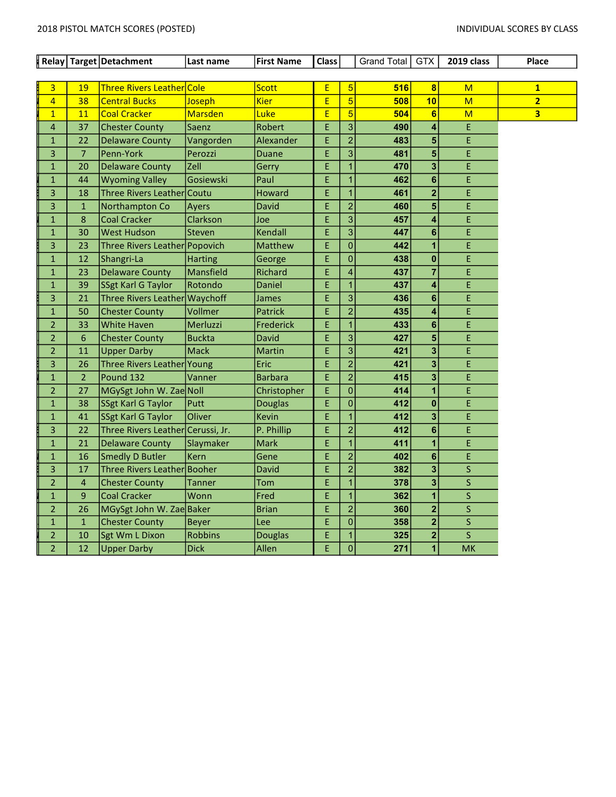|                |                | Relay Target Detachment           | Last name      | <b>First Name</b> | <b>Class</b> |                         | Grand Total GTX |                         | 2019 class | Place                   |
|----------------|----------------|-----------------------------------|----------------|-------------------|--------------|-------------------------|-----------------|-------------------------|------------|-------------------------|
|                |                |                                   |                |                   |              |                         |                 |                         |            |                         |
| 3              | 19             | Three Rivers Leather Cole         |                | <b>Scott</b>      | E            | 5 <sup>1</sup>          | 516             | $\vert 8 \vert$         | M          | $\overline{\mathbf{1}}$ |
| $\overline{4}$ | 38             | <b>Central Bucks</b>              | Joseph         | <b>Kier</b>       | E            | $\overline{5}$          | 508             | 10                      | M          | $\overline{2}$          |
| $\overline{1}$ | 11             | <b>Coal Cracker</b>               | <b>Marsden</b> | Luke              | E            | 5 <sup>1</sup>          | 504             | $6\phantom{1}$          | M          | 3 <sup>2</sup>          |
| $\overline{4}$ | 37             | <b>Chester County</b>             | Saenz          | Robert            | Ė            | 3 <sup>1</sup>          | 490             | 4                       | E          |                         |
| $\mathbf{1}$   | 22             | <b>Delaware County</b>            | Vangorden      | Alexander         | Ė            | $\overline{2}$          | 483             | 5                       | E          |                         |
| 3              | $\overline{7}$ | Penn-York                         | Perozzi        | <b>Duane</b>      | Ė            | 3 <sup>1</sup>          | 481             | 5                       | E          |                         |
| $\mathbf{1}$   | 20             | <b>Delaware County</b>            | Zell           | Gerry             | Ė            | $\overline{1}$          | 470             | 3                       | E          |                         |
| $\mathbf{1}$   | 44             | <b>Wyoming Valley</b>             | Gosiewski      | Paul              | E.           | $\mathbf{1}$            | 462             | $6\phantom{1}$          | E          |                         |
| 3              | 18             | Three Rivers Leather Coutu        |                | Howard            | Ė.           | $\overline{1}$          | 461             | $\overline{\mathbf{2}}$ | E          |                         |
| 3              | $\mathbf{1}$   | Northampton Co                    | Ayers          | <b>David</b>      | E            | $\overline{2}$          | 460             | 5                       | E          |                         |
| $\mathbf{1}$   | 8              | <b>Coal Cracker</b>               | Clarkson       | Joe               | Ė            | 3 <sup>1</sup>          | 457             | 4                       | E          |                         |
| $\mathbf 1$    | 30             | <b>West Hudson</b>                | Steven         | Kendall           | E.           | 3 <sup>1</sup>          | 447             | 6                       | E          |                         |
| 3              | 23             | Three Rivers Leather Popovich     |                | Matthew           | E.           | $\mathbf 0$             | 442             | 1                       | E          |                         |
| $\mathbf 1$    | 12             | Shangri-La                        | <b>Harting</b> | George            | E.           | $\overline{0}$          | 438             | $\bf{0}$                | E          |                         |
| $\mathbf{1}$   | 23             | <b>Delaware County</b>            | Mansfield      | Richard           | Ė,           | $\overline{\mathbf{4}}$ | 437             | $\overline{7}$          | E          |                         |
| $\mathbf{1}$   | 39             | SSgt Karl G Taylor                | Rotondo        | Daniel            | E            | $\overline{1}$          | 437             | 4                       | E          |                         |
| 3              | 21             | Three Rivers Leather Waychoff     |                | James             | E            | 3 <sup>1</sup>          | 436             | 6                       | E          |                         |
| $\mathbf{1}$   | 50             | <b>Chester County</b>             | Vollmer        | <b>Patrick</b>    | Ė            | $\overline{2}$          | 435             | 4                       | Ė          |                         |
| $\overline{2}$ | 33             | <b>White Haven</b>                | Merluzzi       | <b>Frederick</b>  | Ė            | $\overline{1}$          | 433             | 6                       | E          |                         |
| $\overline{2}$ | 6              | <b>Chester County</b>             | <b>Buckta</b>  | David             | E            | 3 <sup>1</sup>          | 427             | 5                       | E          |                         |
| $\overline{2}$ | 11             | <b>Upper Darby</b>                | <b>Mack</b>    | Martin            | E            | $\overline{3}$          | 421             | 3                       | E          |                         |
| 3              | 26             | Three Rivers Leather Young        |                | Eric              | Ė            | $\overline{2}$          | 421             | 3                       | E          |                         |
| $\mathbf{1}$   | $\overline{2}$ | Pound 132                         | Vanner         | <b>Barbara</b>    | Ė.           | $\overline{2}$          | 415             | 3                       | E          |                         |
| $\overline{2}$ | 27             | MGySgt John W. ZaeNoll            |                | Christopher       | E            | 0                       | 414             | 1                       | E          |                         |
| $\mathbf{1}$   | 38             | SSgt Karl G Taylor                | Putt           | <b>Douglas</b>    | Ė            | $\overline{0}$          | 412             | $\mathbf{0}$            | Ė          |                         |
| $\mathbf 1$    | 41             | SSgt Karl G Taylor                | Oliver         | Kevin             | E            | $\overline{1}$          | 412             | 3                       | E          |                         |
| 3              | 22             | Three Rivers Leather Cerussi, Jr. |                | P. Phillip        | Ė            | $\overline{2}$          | 412             | 6                       | E          |                         |
| $\mathbf 1$    | 21             | <b>Delaware County</b>            | Slaymaker      | <b>Mark</b>       | E            | $\overline{1}$          | 411             | 1                       | E          |                         |
| $\mathbf{1}$   | 16             | Smedly D Butler                   | <b>Kern</b>    | Gene              | E            | $\overline{2}$          | 402             | 6                       | E          |                         |
| 3              | 17             | Three Rivers Leather Booher       |                | David             | Ė            | $\overline{2}$          | 382             | 3                       | S          |                         |
| $\overline{2}$ | $\overline{4}$ | <b>Chester County</b>             | <b>Tanner</b>  | Tom               | Ė.           | $\overline{1}$          | 378             | 3                       | S          |                         |
| $\mathbf{1}$   | 9              | <b>Coal Cracker</b>               | Wonn           | Fred              | Ė            | $\overline{1}$          | 362             | $\overline{\mathbf{1}}$ | S          |                         |
| $\overline{2}$ | 26             | MGySgt John W. Zae Baker          |                | <b>Brian</b>      | E            | $\overline{2}$          | 360             | $\overline{\mathbf{2}}$ | S.         |                         |
| $\mathbf{1}$   | $\mathbf{1}$   | <b>Chester County</b>             | <b>Beyer</b>   | Lee               | Ė            | 0                       | 358             | $\overline{\mathbf{2}}$ | S.         |                         |
| $\overline{2}$ | 10             | Sgt Wm L Dixon                    | <b>Robbins</b> | <b>Douglas</b>    | E            | $\overline{1}$          | 325             | $\overline{\mathbf{2}}$ | S          |                         |
| $\overline{2}$ | 12             | <b>Upper Darby</b>                | <b>Dick</b>    | Allen             | Ė.           | 0                       | 271             | 1                       | <b>MK</b>  |                         |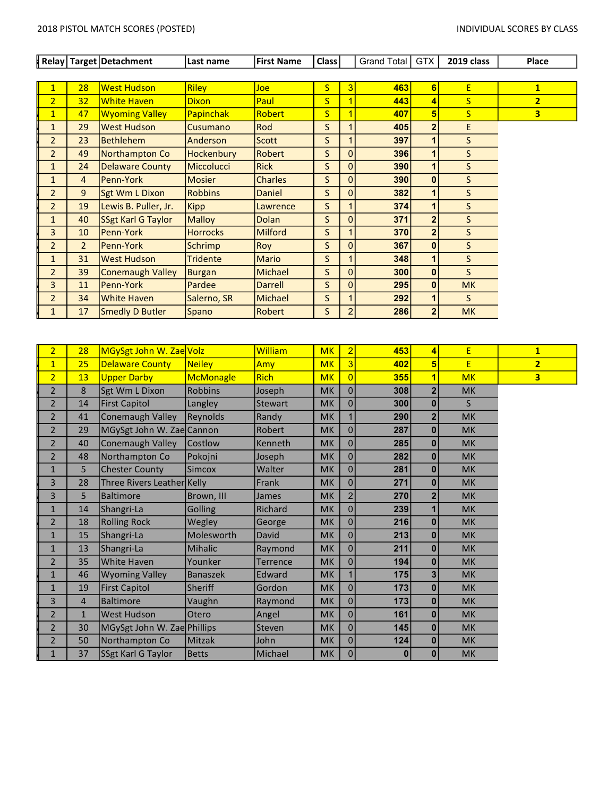┙

|                         |                 | Relay   Target   Detachment | Last name         | <b>First Name</b> | Class                   |                | <b>Grand Total</b> | GTX            | 2019 class   | Place          |
|-------------------------|-----------------|-----------------------------|-------------------|-------------------|-------------------------|----------------|--------------------|----------------|--------------|----------------|
|                         |                 |                             |                   |                   |                         |                |                    |                |              |                |
|                         | 28              | <b>West Hudson</b>          | <b>Riley</b>      | <b>Joe</b>        | S                       | 3              | 463                | 6              | E            | $\mathbf{1}$   |
| $\overline{2}$          | 32 <sub>2</sub> | <b>White Haven</b>          | <b>Dixon</b>      | Paul              | $\overline{\mathsf{S}}$ |                | 443                | 4              | S            | $\overline{2}$ |
| $\overline{\mathbf{1}}$ | 47              | <b>Wyoming Valley</b>       | <b>Papinchak</b>  | Robert            | $\overline{\mathsf{S}}$ | 1              | 407                | 5              | S            | 3              |
| $\mathbf{1}$            | 29              | <b>West Hudson</b>          | Cusumano          | Rod               | S                       |                | 405                | $\overline{2}$ | E            |                |
| $\overline{2}$          | 23              | <b>Bethlehem</b>            | Anderson          | Scott             | S                       |                | 397                |                | S            |                |
| $\overline{2}$          | 49              | Northampton Co              | <b>Hockenbury</b> | Robert            | S                       | $\mathbf{0}$   | 396                |                | S            |                |
| $\mathbf{1}$            | 24              | Delaware County             | <b>Miccolucci</b> | <b>Rick</b>       | S                       | $\Omega$       | 390                |                | S            |                |
| $\mathbf{1}$            | $\overline{4}$  | <b>Penn-York</b>            | <b>Mosier</b>     | <b>Charles</b>    | S                       | $\mathbf{0}$   | 390                | 0              | S            |                |
| $\overline{2}$          | 9               | Sgt Wm L Dixon              | <b>Robbins</b>    | Daniel            | S                       | $\Omega$       | 382                | 1              | S            |                |
| $\overline{2}$          | 19              | Lewis B. Puller, Jr.        | <b>Kipp</b>       | Lawrence          | $\mathsf{S}$            |                | 374                | 1              | $\mathsf{S}$ |                |
| $\mathbf{1}$            | 40              | SSgt Karl G Taylor          | <b>Malloy</b>     | <b>Dolan</b>      | S                       | $\Omega$       | 371                | $\overline{2}$ | S            |                |
| 3                       | 10              | Penn-York                   | <b>Horrocks</b>   | <b>Milford</b>    | S                       |                | 370                | $\mathbf{z}$   | S            |                |
| $\overline{2}$          | $\overline{2}$  | <b>Penn-York</b>            | <b>Schrimp</b>    | Roy               | S                       | $\mathbf{0}$   | 367                | 0              | S            |                |
| $\mathbf{1}$            | 31              | <b>West Hudson</b>          | <b>Tridente</b>   | <b>Mario</b>      | S                       |                | 348                |                | S            |                |
| $\overline{2}$          | 39              | Conemaugh Valley            | <b>Burgan</b>     | Michael           | S                       | $\Omega$       | 300                | 0              | S            |                |
| 3                       | 11              | Penn-York                   | Pardee            | <b>Darrell</b>    | S                       | 0              | 295                | 0              | <b>MK</b>    |                |
| $\overline{2}$          | 34              | <b>White Haven</b>          | Salerno, SR       | Michael           | S.                      |                | 292                |                | S            |                |
| $\mathbf{1}$            | 17              | Smedly D Butler             | Spano             | Robert            | S                       | $\overline{c}$ | 286                | $\overline{2}$ | <b>MK</b>    |                |

| $\overline{2}$ | 28           | MGySgt John W. Zae Volz     |                  | William         | <b>MK</b> | $\overline{2}$ | 453      | 4              | E         | $\mathbf{1}$            |
|----------------|--------------|-----------------------------|------------------|-----------------|-----------|----------------|----------|----------------|-----------|-------------------------|
| $\mathbf{1}$   | 25           | <b>Delaware County</b>      | <b>Neiley</b>    | Amy             | <b>MK</b> | 3              | 402      | 5              | E         | $\overline{2}$          |
| $\overline{2}$ | 13           | <b>Upper Darby</b>          | <b>McMonagle</b> | <b>Rich</b>     | <b>MK</b> | $\overline{0}$ | 355      | 1              | <b>MK</b> | $\overline{\mathbf{3}}$ |
| $\overline{2}$ | 8            | Sgt Wm L Dixon              | <b>Robbins</b>   | Joseph          | <b>MK</b> | $\overline{0}$ | 308      | $\overline{2}$ | <b>MK</b> |                         |
| $\overline{2}$ | 14           | <b>First Capitol</b>        | Langley          | <b>Stewart</b>  | <b>MK</b> | $\overline{0}$ | 300      | $\bf{0}$       | S.        |                         |
| $\overline{2}$ | 41           | <b>Conemaugh Valley</b>     | <b>Reynolds</b>  | Randy           | <b>MK</b> |                | 290      | $\overline{2}$ | <b>MK</b> |                         |
| $\overline{2}$ | 29           | MGySgt John W. Zae Cannon   |                  | Robert          | <b>MK</b> | $\overline{0}$ | 287      | $\bf{0}$       | <b>MK</b> |                         |
| $\overline{2}$ | 40           | <b>Conemaugh Valley</b>     | Costlow          | Kenneth         | <b>MK</b> | $\overline{0}$ | 285      | $\bf{0}$       | <b>MK</b> |                         |
| $\overline{2}$ | 48           | Northampton Co              | Pokojni          | Joseph          | <b>MK</b> | $\overline{0}$ | 282      | $\bf{0}$       | <b>MK</b> |                         |
| $\mathbf{1}$   | 5            | <b>Chester County</b>       | <b>Simcox</b>    | Walter          | <b>MK</b> | $\overline{0}$ | 281      | $\mathbf{0}$   | <b>MK</b> |                         |
| 3              | 28           | Three Rivers Leather Kelly  |                  | Frank           | <b>MK</b> | $\overline{0}$ | 271      | $\mathbf{0}$   | <b>MK</b> |                         |
| $\overline{3}$ | 5            | <b>Baltimore</b>            | Brown, III       | <b>James</b>    | <b>MK</b> | $\overline{2}$ | 270      | $\overline{2}$ | <b>MK</b> |                         |
| $\mathbf{1}$   | 14           | Shangri-La                  | Golling          | Richard         | <b>MK</b> | $\overline{0}$ | 239      | 1              | <b>MK</b> |                         |
| $\overline{2}$ | 18           | <b>Rolling Rock</b>         | Wegley           | George          | <b>MK</b> | $\overline{0}$ | 216      | $\bf{0}$       | <b>MK</b> |                         |
| $\mathbf{1}$   | 15           | Shangri-La                  | Molesworth       | David           | <b>MK</b> | $\overline{0}$ | 213      | $\bf{0}$       | <b>MK</b> |                         |
| $\mathbf{1}$   | 13           | Shangri-La                  | <b>Mihalic</b>   | Raymond         | <b>MK</b> | $\overline{0}$ | 211      | $\bf{0}$       | <b>MK</b> |                         |
| $\overline{2}$ | 35           | <b>White Haven</b>          | Younker          | <b>Terrence</b> | <b>MK</b> | $\overline{0}$ | 194      | $\bf{0}$       | <b>MK</b> |                         |
| $\mathbf{1}$   | 46           | <b>Wyoming Valley</b>       | <b>Banaszek</b>  | Edward          | <b>MK</b> |                | 175      | 3 <sup>1</sup> | <b>MK</b> |                         |
| $\mathbf{1}$   | 19           | <b>First Capitol</b>        | <b>Sheriff</b>   | Gordon          | <b>MK</b> | $\overline{0}$ | 173      | $\bf{0}$       | <b>MK</b> |                         |
| 3              | 4            | <b>Baltimore</b>            | Vaughn           | Raymond         | <b>MK</b> | $\overline{0}$ | 173      | $\bf{0}$       | <b>MK</b> |                         |
| $\overline{2}$ | $\mathbf{1}$ | <b>West Hudson</b>          | Otero            | Angel           | <b>MK</b> | $\overline{0}$ | 161      | $\bf{0}$       | <b>MK</b> |                         |
| $\overline{2}$ | 30           | MGySgt John W. Zae Phillips |                  | Steven          | <b>MK</b> | $\overline{0}$ | 145      | $\bf{0}$       | <b>MK</b> |                         |
| $\overline{2}$ | 50           | Northampton Co              | <b>Mitzak</b>    | John            | <b>MK</b> | $\overline{0}$ | 124      | $\bf{0}$       | <b>MK</b> |                         |
| $\mathbf{1}$   | 37           | SSgt Karl G Taylor          | <b>Betts</b>     | Michael         | <b>MK</b> | $\overline{0}$ | $\bf{0}$ | $\mathbf{0}$   | <b>MK</b> |                         |